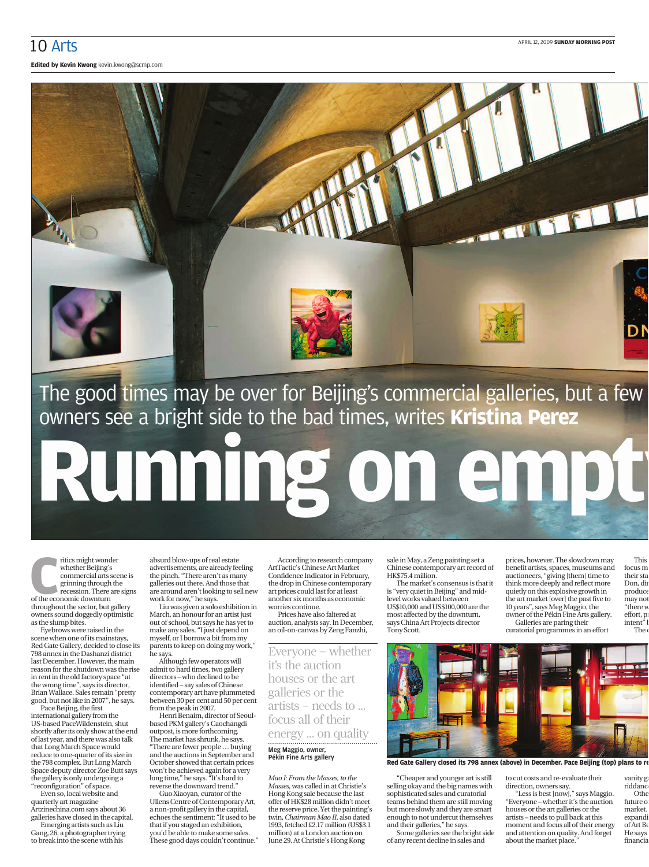**Edited by Kevin Kwong** kevin.kwong@scmp.com



The good times may be over for Beijing's commercial galleries, but a few owners see a bright side to the bad times, writes **Kristina Perez**

**Running on empty**

The ration of the economic downturn<br>
of the economic downturn<br>
of the economic downturn ritics might wonder whether Beijing's commercial arts scene is grinning through the recession. There are signs throughout the sector, but gallery owners sound doggedly optimistic as the slump bites.

Eyebrows were raised in the scene when one of its mainstays, Red Gate Gallery, decided to close its 798 annex in the Dashanzi district last December. However, the main reason for the shutdown was the rise in rent in the old factory space "at the wrong time", says its director, Brian Wallace. Sales remain "pretty good, but not like in 2007", he says.

Pace Beijing, the first international gallery from the US-based PaceWildenstein, shut shortly after its only show at the end of last year, and there was also talk that Long March Space would reduce to one-quarter of its size in the 798 complex. But Long March Space deputy director Zoe Butt says the gallery is only undergoing a "reconfiguration" of space.

Even so, local website and quarterly art magazine Artzinechina.com says about 36 galleries have closed in the capital.

Emerging artists such as Liu Gang, 26, a photographer trying to break into the scene with his

absurd blow-ups of real estate advertisements, are already feeling the pinch. "There aren't as many galleries out there. And those that are around aren't looking to sell new work for now," he says.

Liu was given a solo exhibition in March, an honour for an artist just out of school, but says he has yet to make any sales. "I just depend on myself, or I borrow a bit from my parents to keep on doing my work," he says.

Although few operators will admit to hard times, two gallery directors – who declined to be identified – say sales of Chinese contemporary art have plummeted between 30 per cent and 50 per cent from the peak in 2007.

Henri Benaim, director of Seoulased PKM gallery's Caochangdi outpost, is more forthcoming. The market has shrunk, he says. "There are fewer people … buying and the auctions in September and October showed that certain prices won't be achieved again for a very long time," he says. "It's hard to reverse the downward trend."

Guo Xiaoyan, curator of the Ullens Centre of Contemporary Art, a non-profit gallery in the capital, echoes the sentiment: "It used to be that if you staged an exhibition, you'd be able to make some sales. These good days couldn't continue."

According to research company ArtTactic's Chinese Art Market Confidence Indicator in February, the drop in Chinese contemporary art prices could last for at least another six months as economic worries continue.

Prices have also faltered at auction, analysts say. In December, an oil-on-canvas by Zeng Fanzhi,

Everyone – whether it's the auction houses or the art galleries or the artists – needs to … focus all of their energy ... on quality

Meg Maggio, owner, Pékin Fine Arts gallery

*Mao I: From the Masses, to the Masses*, was called in at Christie's Hong Kong sale because the last offer of HK\$28 million didn't meet the reserve price. Yet the painting's twin, *Chairman Mao II*, also dated 1993, fetched £2.17 million (US\$3.1 million) at a London auction on June 29. At Christie's Hong Kong

sale in May, a Zeng painting set a Chinese contemporary art record of HK\$75.4 million.

The market's consensus is that it is "very quiet in Beijing" and midlevel works valued between US\$10,000 and US\$100,000 are the most affected by the downturn, says China Art Projects director Tony Scott.

prices, however. The slowdown may benefit artists, spaces, museums and auctioneers, "giving [them] time to think more deeply and reflect more quietly on this explosive growth in the art market [over] the past five to 10 years", says Meg Maggio, the owner of the Pékin Fine Arts gallery. Galleries are paring their

curatorial programmes in an effort



**Red Gate Gallery closed its 798 annex (above) in December. Pace Beijing (top) plans to re**

"Cheaper and younger art is still selling okay and the big names with sophisticated sales and curatorial teams behind them are still moving but more slowly and they are smart enough to not undercut themselves and their galleries," he says.

Some galleries see the bright side of any recent decline in sales and

to cut costs and re-evaluate their vanity ga riddance

direction, owners say. "Less is best [now]," says Maggio. "Everyone – whether it's the auction houses or the art galleries or the artists – needs to pull back at this moment and focus all of their energy and attention on quality. And forget about the market place."

future of market. expandi of Art Be He says financia

Othe

their sta Don, dir produce may not "there w effort, pr intent" The o

This focus m